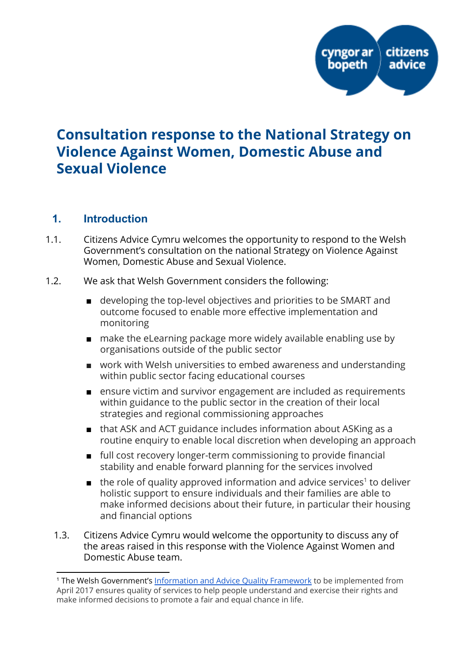

# Consultation response to the National Strategy on Violence Against Women, Domestic Abuse and Sexual Violence

## 1. Introduction

- 1.1. Citizens Advice Cymru welcomes the opportunity to respond to the Welsh Government's consultation on the national Strategy on Violence Against Women, Domestic Abuse and Sexual Violence.
- 1.2. We ask that Welsh Government considers the following:
	- developing the top-level objectives and priorities to be SMART and outcome focused to enable more effective implementation and monitoring
	- make the eLearning package more widely available enabling use by organisations outside of the public sector
	- work with Welsh universities to embed awareness and understanding within public sector facing educational courses
	- ensure victim and survivor engagement are included as requirements within guidance to the public sector in the creation of their local strategies and regional commissioning approaches
	- that ASK and ACT guidance includes information about ASKing as a routine enquiry to enable local discretion when developing an approach
	- full cost recovery longer-term commissioning to provide financial stability and enable forward planning for the services involved
	- $\blacksquare$  the role of quality approved information and advice services<sup>1</sup> to deliver holistic support to ensure individuals and their families are able to make informed decisions about their future, in particular their housing and financial options
	- 1.3. Citizens Advice Cymru would welcome the opportunity to discuss any of the areas raised in this response with the Violence Against Women and Domestic Abuse team.

<sup>1</sup> The Welsh Government's [Information](http://gov.wales/topics/people-and-communities/communities/advice-services/information-advice-quality-framework/?lang=en) and Advice Quality Framework to be implemented from April 2017 ensures quality of services to help people understand and exercise their rights and make informed decisions to promote a fair and equal chance in life.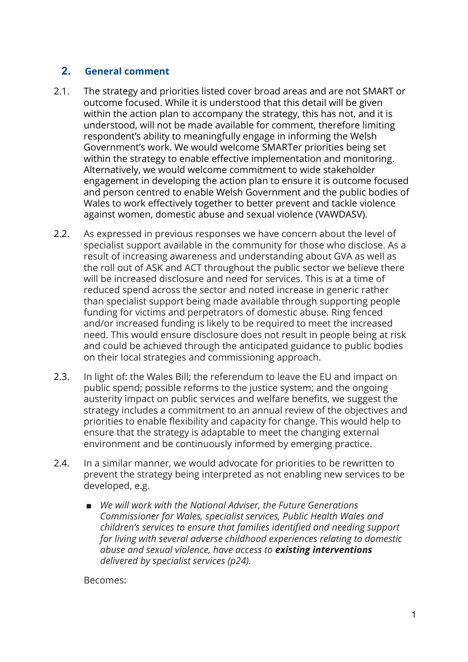#### 2. General comment

- 2.1. The strategy and priorities listed cover broad areas and are not SMART or outcome focused. While it is understood that this detail will be given within the action plan to accompany the strategy, this has not, and it is understood, will not be made available for comment, therefore limiting respondent's ability to meaningfully engage in informing the Welsh Government's work. We would welcome SMARTer priorities being set within the strategy to enable effective implementation and monitoring. Alternatively, we would welcome commitment to wide stakeholder engagement in developing the action plan to ensure it is outcome focused and person centred to enable Welsh Government and the public bodies of Wales to work effectively together to better prevent and tackle violence against women, domestic abuse and sexual violence (VAWDASV).
- 2.2. As expressed in previous responses we have concern about the level of specialist support available in the community for those who disclose. As a result of increasing awareness and understanding about GVA as well as the roll out of ASK and ACT throughout the public sector we believe there will be increased disclosure and need for services. This is at a time of reduced spend across the sector and noted increase in generic rather than specialist support being made available through supporting people funding for victims and perpetrators of domestic abuse. Ring fenced and/or increased funding is likely to be required to meet the increased need. This would ensure disclosure does not result in people being at risk and could be achieved through the anticipated guidance to public bodies on their local strategies and commissioning approach.
- 2.3. In light of: the Wales Bill; the referendum to leave the EU and impact on public spend; possible reforms to the justice system; and the ongoing austerity impact on public services and welfare benefits, we suggest the strategy includes a commitment to an annual review of the objectives and priorities to enable flexibility and capacity for change. This would help to ensure that the strategy is adaptable to meet the changing external environment and be continuously informed by emerging practice.
- 2.4. In a similar manner, we would advocate for priorities to be rewritten to prevent the strategy being interpreted as not enabling new services to be developed, e.g.
	- We will work with the National Adviser, the Future Generations Commissioner for Wales, specialist services, Public Health Wales and children's services to ensure that families identified and needing support for living with several adverse childhood experiences relating to domestic abuse and sexual violence, have access to existing interventions delivered by specialist services (p24).

Becomes: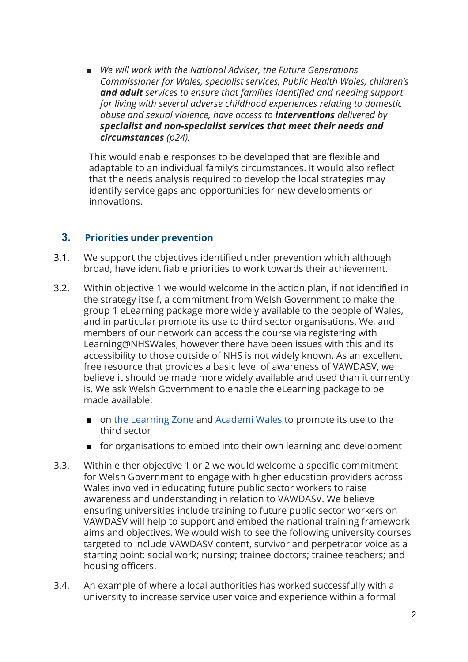■ We will work with the National Adviser, the Future Generations Commissioner for Wales, specialist services, Public Health Wales, children's and adult services to ensure that families identified and needing support for living with several adverse childhood experiences relating to domestic abuse and sexual violence, have access to *interventions* delivered by specialist and non-specialist services that meet their needs and circumstances (p24).

This would enable responses to be developed that are flexible and adaptable to an individual family's circumstances. It would also reflect that the needs analysis required to develop the local strategies may identify service gaps and opportunities for new developments or innovations.

#### 3. Priorities under prevention

- 3.1. We support the objectives identified under prevention which although broad, have identifiable priorities to work towards their achievement.
- 3.2. Within objective 1 we would welcome in the action plan, if not identified in the strategy itself, a commitment from Welsh Government to make the group 1 eLearning package more widely available to the people of Wales, and in particular promote its use to third sector organisations. We, and members of our network can access the course via registering with Learning@NHSWales, however there have been issues with this and its accessibility to those outside of NHS is not widely known. As an excellent free resource that provides a basic level of awareness of VAWDASV, we believe it should be made more widely available and used than it currently is. We ask Welsh Government to enable the eLearning package to be made available:
	- on the [Learning](https://www.learningzone.wales/) Zone and [Academi](https://academiwales.gov.wales/Repository/browse?sort=recommendation&language=en&category=all) Wales to promote its use to the third sector
	- for organisations to embed into their own learning and development
- 3.3. Within either objective 1 or 2 we would welcome a specific commitment for Welsh Government to engage with higher education providers across Wales involved in educating future public sector workers to raise awareness and understanding in relation to VAWDASV. We believe ensuring universities include training to future public sector workers on VAWDASV will help to support and embed the national training framework aims and objectives. We would wish to see the following university courses targeted to include VAWDASV content, survivor and perpetrator voice as a starting point: social work; nursing; trainee doctors; trainee teachers; and housing officers.
- 3.4. An example of where a local authorities has worked successfully with a university to increase service user voice and experience within a formal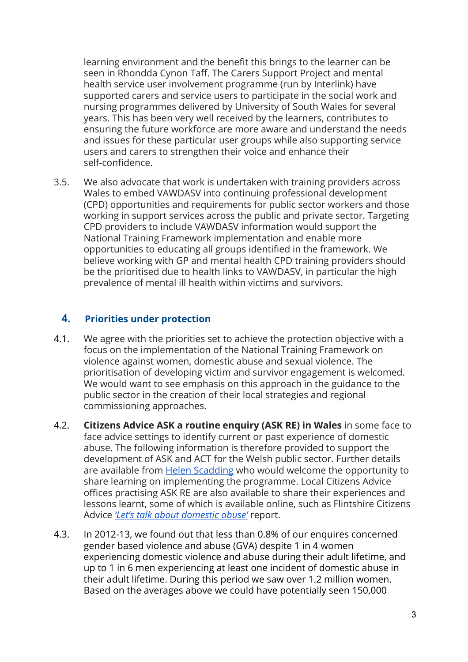learning environment and the benefit this brings to the learner can be seen in Rhondda Cynon Taff. The Carers Support Project and mental health service user involvement programme (run by Interlink) have supported carers and service users to participate in the social work and nursing programmes delivered by University of South Wales for several years. This has been very well received by the learners, contributes to ensuring the future workforce are more aware and understand the needs and issues for these particular user groups while also supporting service users and carers to strengthen their voice and enhance their self-confidence.

3.5. We also advocate that work is undertaken with training providers across Wales to embed VAWDASV into continuing professional development (CPD) opportunities and requirements for public sector workers and those working in support services across the public and private sector. Targeting CPD providers to include VAWDASV information would support the National Training Framework implementation and enable more opportunities to educating all groups identified in the framework. We believe working with GP and mental health CPD training providers should be the prioritised due to health links to VAWDASV, in particular the high prevalence of mental ill health within victims and survivors.

#### 4. Priorities under protection

- 4.1. We agree with the priorities set to achieve the protection objective with a focus on the implementation of the National Training Framework on violence against women, domestic abuse and sexual violence. The prioritisation of developing victim and survivor engagement is welcomed. We would want to see emphasis on this approach in the guidance to the public sector in the creation of their local strategies and regional commissioning approaches.
- 4.2. Citizens Advice ASK a routine enquiry (ASK RE) in Wales in some face to face advice settings to identify current or past experience of domestic abuse. The following information is therefore provided to support the development of ASK and ACT for the Welsh public sector. Further details are available from **Helen [Scadding](mailto:helen.scadding@citizensadvice.org.uk)** who would welcome the opportunity to share learning on implementing the programme. Local Citizens Advice offices practising ASK RE are also available to share their experiences and lessons learnt, some of which is available online, such as Flintshire Citizens Advice 'Let's talk about [domestic](http://www.flintshirecab.org.uk/ASKReport.pdf) abuse' report.
- 4.3. In 2012-13, we found out that less than 0.8% of our enquires concerned gender based violence and abuse (GVA) despite 1 in 4 women experiencing domestic violence and abuse during their adult lifetime, and up to 1 in 6 men experiencing at least one incident of domestic abuse in their adult lifetime. During this period we saw over 1.2 million women. Based on the averages above we could have potentially seen 150,000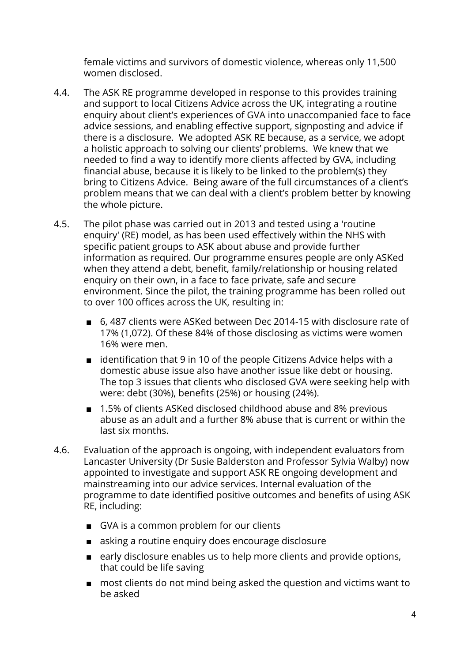female victims and survivors of domestic violence, whereas only 11,500 women disclosed.

- 4.4. The ASK RE programme developed in response to this provides training and support to local Citizens Advice across the UK, integrating a routine enquiry about client's experiences of GVA into unaccompanied face to face advice sessions, and enabling effective support, signposting and advice if there is a disclosure. We adopted ASK RE because, as a service, we adopt a holistic approach to solving our clients' problems. We knew that we needed to find a way to identify more clients affected by GVA, including financial abuse, because it is likely to be linked to the problem(s) they bring to Citizens Advice. Being aware of the full circumstances of a client's problem means that we can deal with a client's problem better by knowing the whole picture.
- 4.5. The pilot phase was carried out in 2013 and tested using a 'routine enquiry' (RE) model, as has been used effectively within the NHS with specific patient groups to ASK about abuse and provide further information as required. Our programme ensures people are only ASKed when they attend a debt, benefit, family/relationship or housing related enquiry on their own, in a face to face private, safe and secure environment. Since the pilot, the training programme has been rolled out to over 100 offices across the UK, resulting in:
	- 6,487 clients were ASKed between Dec 2014-15 with disclosure rate of 17% (1,072). Of these 84% of those disclosing as victims were women 16% were men.
	- identification that 9 in 10 of the people Citizens Advice helps with a domestic abuse issue also have another issue like debt or housing. The top 3 issues that clients who disclosed GVA were seeking help with were: debt (30%), benefits (25%) or housing (24%).
	- 1.5% of clients ASKed disclosed childhood abuse and 8% previous abuse as an adult and a further 8% abuse that is current or within the last six months.
- 4.6. Evaluation of the approach is ongoing, with independent evaluators from Lancaster University (Dr Susie Balderston and Professor Sylvia Walby) now appointed to investigate and support ASK RE ongoing development and mainstreaming into our advice services. Internal evaluation of the programme to date identified positive outcomes and benefits of using ASK RE, including:
	- GVA is a common problem for our clients
	- asking a routine enquiry does encourage disclosure
	- early disclosure enables us to help more clients and provide options, that could be life saving
	- most clients do not mind being asked the question and victims want to be asked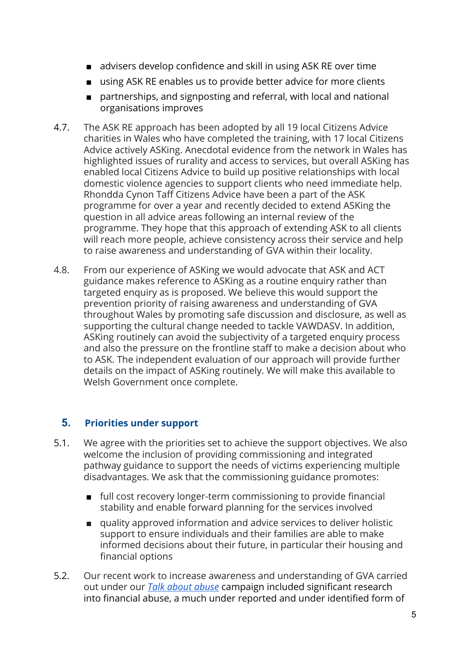- advisers develop confidence and skill in using ASK RE over time
- using ASK RE enables us to provide better advice for more clients
- partnerships, and signposting and referral, with local and national organisations improves
- 4.7. The ASK RE approach has been adopted by all 19 local Citizens Advice charities in Wales who have completed the training, with 17 local Citizens Advice actively ASKing. Anecdotal evidence from the network in Wales has highlighted issues of rurality and access to services, but overall ASKing has enabled local Citizens Advice to build up positive relationships with local domestic violence agencies to support clients who need immediate help. Rhondda Cynon Taff Citizens Advice have been a part of the ASK programme for over a year and recently decided to extend ASKing the question in all advice areas following an internal review of the programme. They hope that this approach of extending ASK to all clients will reach more people, achieve consistency across their service and help to raise awareness and understanding of GVA within their locality.
- 4.8. From our experience of ASKing we would advocate that ASK and ACT guidance makes reference to ASKing as a routine enquiry rather than targeted enquiry as is proposed. We believe this would support the prevention priority of raising awareness and understanding of GVA throughout Wales by promoting safe discussion and disclosure, as well as supporting the cultural change needed to tackle VAWDASV. In addition, ASKing routinely can avoid the subjectivity of a targeted enquiry process and also the pressure on the frontline staff to make a decision about who to ASK. The independent evaluation of our approach will provide further details on the impact of ASKing routinely. We will make this available to Welsh Government once complete.

## 5. Priorities under support

- 5.1. We agree with the priorities set to achieve the support objectives. We also welcome the inclusion of providing commissioning and integrated pathway guidance to support the needs of victims experiencing multiple disadvantages. We ask that the commissioning guidance promotes:
	- full cost recovery longer-term commissioning to provide financial stability and enable forward planning for the services involved
	- quality approved information and advice services to deliver holistic support to ensure individuals and their families are able to make informed decisions about their future, in particular their housing and financial options
- 5.2. Our recent work to increase awareness and understanding of GVA carried out under our Talk about [abuse](https://www.citizensadvice.org.uk/about-us/campaigns/current_campaigns/talk-about-abuse-campaign/talk-about-abuse-story-so-far/) campaign included significant research into financial abuse, a much under reported and under identified form of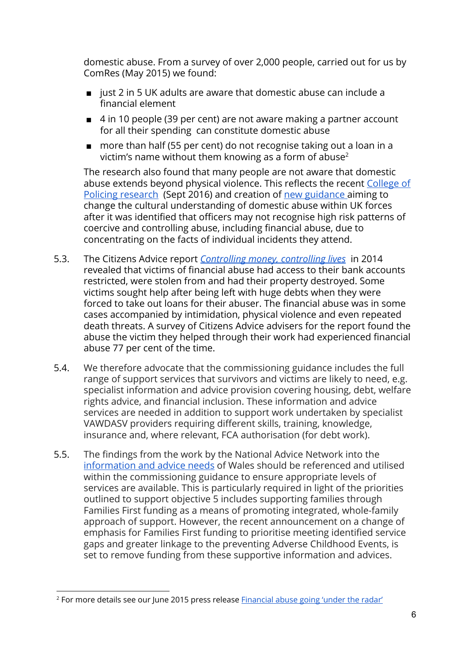domestic abuse. From a survey of over 2,000 people, carried out for us by ComRes (May 2015) we found:

- just 2 in 5 UK adults are aware that domestic abuse can include a financial element
- 4 in 10 people (39 per cent) are not aware making a partner account for all their spending can constitute domestic abuse
- more than half (55 per cent) do not recognise taking out a loan in a victim's name without them knowing as a form of abuse<sup>2</sup>

The research also found that many people are not aware that domestic abuse extends beyond physical violence. This reflects the recent [College](http://www.college.police.uk/News/College-news/Pages/Police-support-victims-of-coercive-control.aspx) of Policing [research](http://www.college.police.uk/News/College-news/Pages/Police-support-victims-of-coercive-control.aspx) (Sept 2016) and creation of new [guidance](https://www.app.college.police.uk/app-content/major-investigation-and-public-protection/domestic-abuse/) aiming to change the cultural understanding of domestic abuse within UK forces after it was identified that officers may not recognise high risk patterns of coercive and controlling abuse, including financial abuse, due to concentrating on the facts of individual incidents they attend.

- 5.3. The Citizens Advice report *[Controlling](https://www.citizensadvice.org.uk/about-us/policy/policy-research-topics/justice-policy-research/domestic-abuse-policy-research/controlling-money-controlling-lives/) money, controlling lives* in 2014 revealed that victims of financial abuse had access to their bank accounts restricted, were stolen from and had their property destroyed. Some victims sought help after being left with huge debts when they were forced to take out loans for their abuser. The financial abuse was in some cases accompanied by intimidation, physical violence and even repeated death threats. A survey of Citizens Advice advisers for the report found the abuse the victim they helped through their work had experienced financial abuse 77 per cent of the time.
- 5.4. We therefore advocate that the commissioning guidance includes the full range of support services that survivors and victims are likely to need, e.g. specialist information and advice provision covering housing, debt, welfare rights advice, and financial inclusion. These information and advice services are needed in addition to support work undertaken by specialist VAWDASV providers requiring different skills, training, knowledge, insurance and, where relevant, FCA authorisation (for debt work).
- 5.5. The findings from the work by the National Advice Network into the [information](http://gov.wales/docs/dsjlg/meetings/160316-advice-network-meeting-16-march-2016-en.pdf) and advice needs of Wales should be referenced and utilised within the commissioning guidance to ensure appropriate levels of services are available. This is particularly required in light of the priorities outlined to support objective 5 includes supporting families through Families First funding as a means of promoting integrated, whole-family approach of support. However, the recent announcement on a change of emphasis for Families First funding to prioritise meeting identified service gaps and greater linkage to the preventing Adverse Childhood Events, is set to remove funding from these supportive information and advices.

<sup>&</sup>lt;sup>2</sup> For more details see our lune 2015 press release [Financial](https://www.citizensadvice.org.uk/about-us/how-citizens-advice-works/media/press-releases/financial-abuse-going-under-the-radar/) abuse going 'under the radar'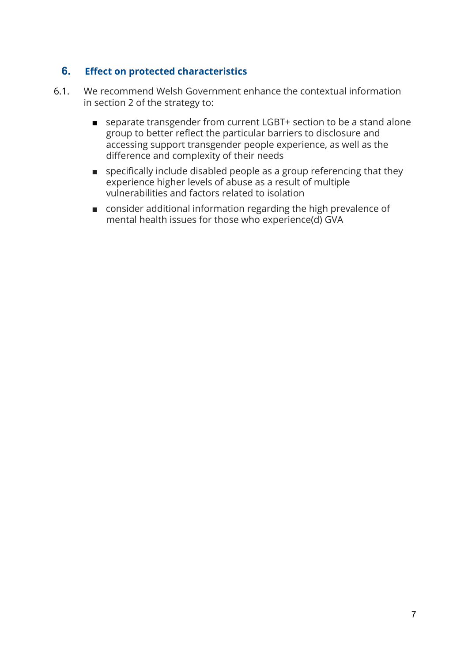#### 6. Effect on protected characteristics

- 6.1. We recommend Welsh Government enhance the contextual information in section 2 of the strategy to:
	- separate transgender from current LGBT+ section to be a stand alone group to better reflect the particular barriers to disclosure and accessing support transgender people experience, as well as the difference and complexity of their needs
	- specifically include disabled people as a group referencing that they experience higher levels of abuse as a result of multiple vulnerabilities and factors related to isolation
	- consider additional information regarding the high prevalence of mental health issues for those who experience(d) GVA